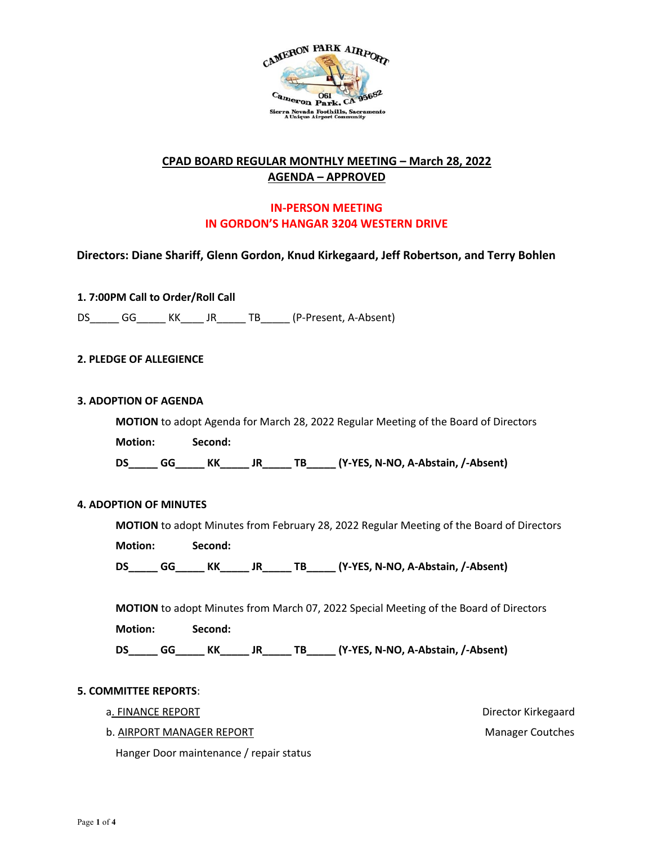

## **CPAD BOARD REGULAR MONTHLY MEETING – March 28, 2022 AGENDA – APPROVED**

# **IN-PERSON MEETING IN GORDON'S HANGAR 3204 WESTERN DRIVE**

**Directors: Diane Shariff, Glenn Gordon, Knud Kirkegaard, Jeff Robertson, and Terry Bohlen**

**1. 7:00PM Call to Order/Roll Call**

DS\_\_\_\_\_ GG\_\_\_\_\_ KK\_\_\_\_ JR\_\_\_\_\_ TB\_\_\_\_\_ (P-Present, A-Absent)

### **2. PLEDGE OF ALLEGIENCE**

#### **3. ADOPTION OF AGENDA**

**MOTION** to adopt Agenda for March 28, 2022 Regular Meeting of the Board of Directors **Motion: Second: DS\_\_\_\_\_ GG\_\_\_\_\_ KK\_\_\_\_\_ JR\_\_\_\_\_ TB\_\_\_\_\_ (Y-YES, N-NO, A-Abstain, /-Absent)** 

### **4. ADOPTION OF MINUTES**

**MOTION** to adopt Minutes from February 28, 2022 Regular Meeting of the Board of Directors

**Motion: Second:** 

**DS\_\_\_\_\_ GG\_\_\_\_\_ KK\_\_\_\_\_ JR\_\_\_\_\_ TB\_\_\_\_\_ (Y-YES, N-NO, A-Abstain, /-Absent)** 

**MOTION** to adopt Minutes from March 07, 2022 Special Meeting of the Board of Directors

**Motion: Second:** 

**DS\_\_\_\_\_ GG\_\_\_\_\_ KK\_\_\_\_\_ JR\_\_\_\_\_ TB\_\_\_\_\_ (Y-YES, N-NO, A-Abstain, /-Absent)** 

#### **5. COMMITTEE REPORTS**:

- a. FINANCE REPORT **EXECUTE:** The state of the state of the state of the state of the state of the state of the state of the state of the state of the state of the state of the state of the state of the state of the state o
	- b. AIRPORT MANAGER REPORT Manager Coutches

Hanger Door maintenance / repair status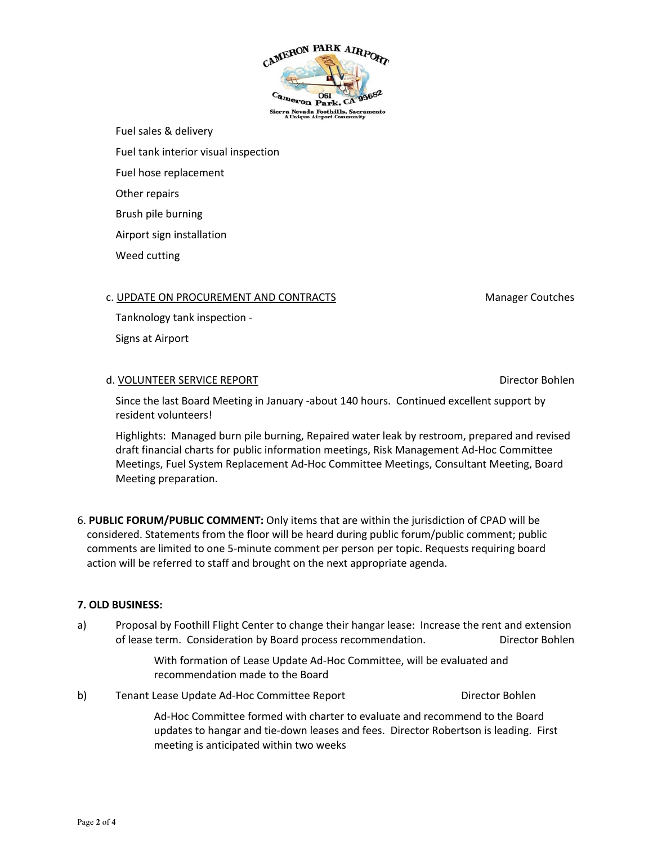CAMERON PARK AIRPORT ameron Park. ra Nevada Foothills, Sacr<br>A Unique Airport Communit

Fuel sales & delivery

Fuel tank interior visual inspection

Fuel hose replacement

Other repairs

Brush pile burning

Airport sign installation

Weed cutting

## c. UPDATE ON PROCUREMENT AND CONTRACTS MANAGEMENT MODEL CONTRACTS

Tanknology tank inspection -

Signs at Airport

## d. VOLUNTEER SERVICE REPORT NEED TO BE A SERVICE REPORT ON A SERVICE BOHLEN BOHLEN BOHLEN BOHLEN

Since the last Board Meeting in January -about 140 hours. Continued excellent support by resident volunteers!

Highlights: Managed burn pile burning, Repaired water leak by restroom, prepared and revised draft financial charts for public information meetings, Risk Management Ad-Hoc Committee Meetings, Fuel System Replacement Ad-Hoc Committee Meetings, Consultant Meeting, Board Meeting preparation.

6. **PUBLIC FORUM/PUBLIC COMMENT:** Only items that are within the jurisdiction of CPAD will be considered. Statements from the floor will be heard during public forum/public comment; public comments are limited to one 5-minute comment per person per topic. Requests requiring board action will be referred to staff and brought on the next appropriate agenda.

## **7. OLD BUSINESS:**

a) Proposal by Foothill Flight Center to change their hangar lease: Increase the rent and extension of lease term. Consideration by Board process recommendation. Director Bohlen

> With formation of Lease Update Ad-Hoc Committee, will be evaluated and recommendation made to the Board

b) Tenant Lease Update Ad-Hoc Committee Report Director Bohlen Ad-Hoc Committee formed with charter to evaluate and recommend to the Board updates to hangar and tie-down leases and fees. Director Robertson is leading. First meeting is anticipated within two weeks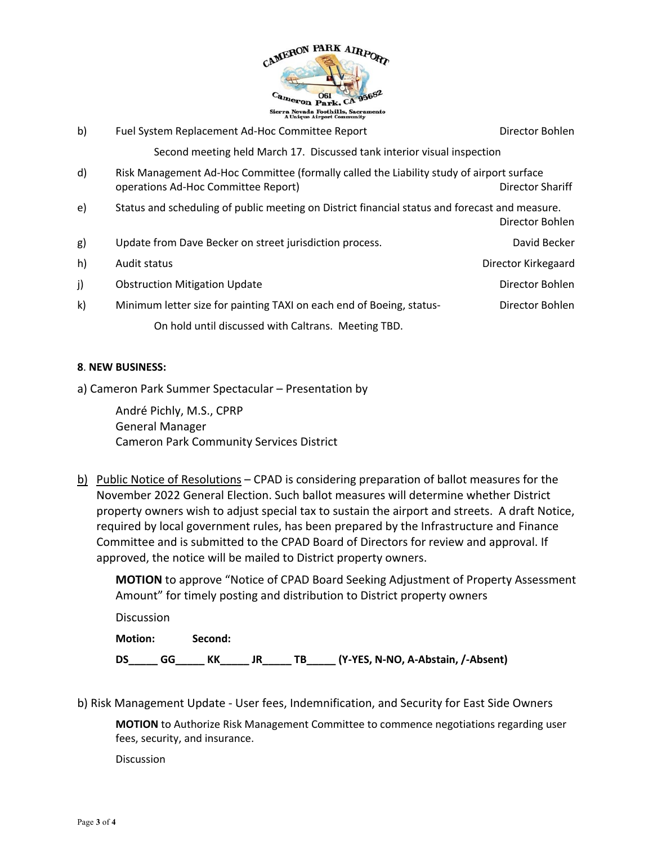

| b) | Fuel System Replacement Ad-Hoc Committee Report                                                                                                     | Director Bohlen     |  |  |  |
|----|-----------------------------------------------------------------------------------------------------------------------------------------------------|---------------------|--|--|--|
|    | Second meeting held March 17. Discussed tank interior visual inspection                                                                             |                     |  |  |  |
| d) | Risk Management Ad-Hoc Committee (formally called the Liability study of airport surface<br>operations Ad-Hoc Committee Report)<br>Director Shariff |                     |  |  |  |
| e) | Status and scheduling of public meeting on District financial status and forecast and measure.<br>Director Bohlen                                   |                     |  |  |  |
| g) | Update from Dave Becker on street jurisdiction process.                                                                                             | David Becker        |  |  |  |
| h) | Audit status                                                                                                                                        | Director Kirkegaard |  |  |  |
| j) | <b>Obstruction Mitigation Update</b>                                                                                                                | Director Bohlen     |  |  |  |
| k) | Minimum letter size for painting TAXI on each end of Boeing, status-                                                                                | Director Bohlen     |  |  |  |
|    | On hold until discussed with Caltrans. Meeting TBD.                                                                                                 |                     |  |  |  |

### **8**. **NEW BUSINESS:**

a) Cameron Park Summer Spectacular – Presentation by

André Pichly, M.S., CPRP General Manager Cameron Park Community Services District

b) Public Notice of Resolutions – CPAD is considering preparation of ballot measures for the November 2022 General Election. Such ballot measures will determine whether District property owners wish to adjust special tax to sustain the airport and streets. A draft Notice, required by local government rules, has been prepared by the Infrastructure and Finance Committee and is submitted to the CPAD Board of Directors for review and approval. If approved, the notice will be mailed to District property owners.

**MOTION** to approve "Notice of CPAD Board Seeking Adjustment of Property Assessment Amount" for timely posting and distribution to District property owners

**Discussion Motion: Second: DS\_\_\_\_\_ GG\_\_\_\_\_ KK\_\_\_\_\_ JR\_\_\_\_\_ TB\_\_\_\_\_ (Y-YES, N-NO, A-Abstain, /-Absent)** 

b) Risk Management Update - User fees, Indemnification, and Security for East Side Owners

**MOTION** to Authorize Risk Management Committee to commence negotiations regarding user fees, security, and insurance.

**Discussion**